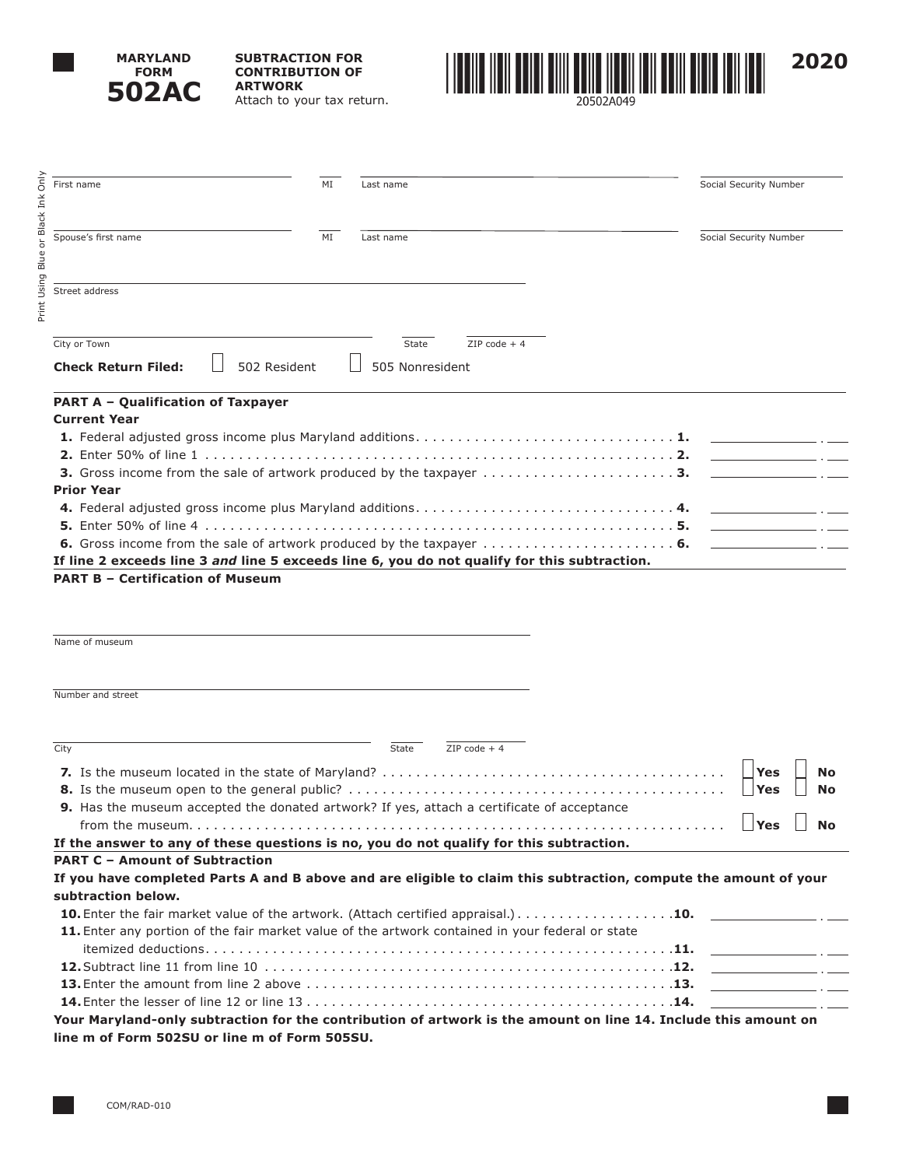

Print Using Blue or Black Ink Only

Print Using Blue or Black

Only Ink **SUBTRACTION FOR CONTRIBUTION OF ARTWORK** Attach to your tax return.



**PART A – Qualification of Taxpayer Current Year 1.** Federal adjusted gross income plus Maryland additions . . . . . . . . . . . . . . . . . . . . . . . . . . . . . . **1. 2.** Enter 50% of line 1 . . . . . . . . . . . . . . . . . . . . . . . . . . . . . . . . . . . . . . . . . . . . . . . . . . . . . . . **2. 3.** Gross income from the sale of artwork produced by the taxpayer . . . . . . . . . . . . . . . . . . . . . . **3. Prior Year 4.** Federal adjusted gross income plus Maryland additions . . . . . . . . . . . . . . . . . . . . . . . . . . . . . . **4. 5.** Enter 50% of line 4 . . . . . . . . . . . . . . . . . . . . . . . . . . . . . . . . . . . . . . . . . . . . . . . . . . . . . . . **5. 6.** Gross income from the sale of artwork produced by the taxpayer . . . . . . . . . . . . . . . . . . . . . . **6. If line 2 exceeds line 3** *and* **line 5 exceeds line 6, you do not qualify for this subtraction. PART B – Certification of Museum** Name of museum Number and street **Check Return Filed:**  $\Box$  502 Resident  $\Box$  505 Nonresident First name Social Security Number Spouse's first name **MI** MI Last name Social Security Number Street address  $\overline{\text{City or Town}}$   $\overline{\text{2IP code + 4}}$ 

| City                                                                                                             | State | $ZIP code + 4$ |           |
|------------------------------------------------------------------------------------------------------------------|-------|----------------|-----------|
|                                                                                                                  |       |                |           |
|                                                                                                                  |       |                |           |
| <b>9.</b> Has the museum accepted the donated artwork? If yes, attach a certificate of acceptance                |       |                |           |
|                                                                                                                  |       |                | <b>No</b> |
| If the answer to any of these questions is no, you do not qualify for this subtraction.                          |       |                |           |
| <b>PART C - Amount of Subtraction</b>                                                                            |       |                |           |
| If you have completed Parts A and B above and are eligible to claim this subtraction, compute the amount of your |       |                |           |
| subtraction below.                                                                                               |       |                |           |
| <b>10.</b> Enter the fair market value of the artwork. (Attach certified appraisal.). 10.                        |       |                |           |
| 11. Enter any portion of the fair market value of the artwork contained in your federal or state                 |       |                |           |
|                                                                                                                  |       |                |           |
|                                                                                                                  |       |                |           |
|                                                                                                                  |       |                |           |
|                                                                                                                  |       |                |           |
| Your Maryland-only subtraction for the contribution of artwork is the amount on line 14. Include this amount on  |       |                |           |
| line m of Form 502SU or line m of Form 505SU.                                                                    |       |                |           |